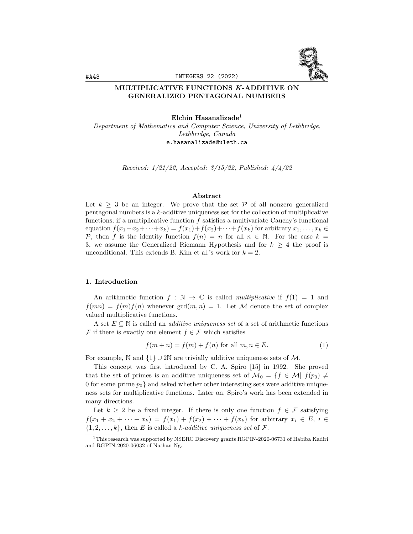

### MULTIPLICATIVE FUNCTIONS K-ADDITIVE ON GENERALIZED PENTAGONAL NUMBERS

Elchin Hasanalizade<sup>1</sup> Department of Mathematics and Computer Science, University of Lethbridge, Lethbridge, Canada e.hasanalizade@uleth.ca

Received: 1/21/22, Accepted: 3/15/22, Published: 4/4/22

# Abstract

Let  $k \geq 3$  be an integer. We prove that the set P of all nonzero generalized pentagonal numbers is a  $k$ -additive uniqueness set for the collection of multiplicative functions; if a multiplicative function  $f$  satisfies a multivariate Cauchy's functional equation  $f(x_1+x_2+\cdots+x_k) = f(x_1)+f(x_2)+\cdots+f(x_k)$  for arbitrary  $x_1,\ldots,x_k \in$ P, then f is the identity function  $f(n) = n$  for all  $n \in \mathbb{N}$ . For the case  $k =$ 3, we assume the Generalized Riemann Hypothesis and for  $k \geq 4$  the proof is unconditional. This extends B. Kim et al.'s work for  $k = 2$ .

### 1. Introduction

An arithmetic function  $f : \mathbb{N} \to \mathbb{C}$  is called *multiplicative* if  $f(1) = 1$  and  $f(mn) = f(m)f(n)$  whenever  $gcd(m, n) = 1$ . Let M denote the set of complex valued multiplicative functions.

A set  $E \subseteq \mathbb{N}$  is called an *additive uniqueness set* of a set of arithmetic functions F if there is exactly one element  $f \in \mathcal{F}$  which satisfies

$$
f(m+n) = f(m) + f(n)
$$
 for all  $m, n \in E$ . (1)

For example, N and  $\{1\} \cup 2\mathbb{N}$  are trivially additive uniqueness sets of M.

This concept was first introduced by C. A. Spiro [15] in 1992. She proved that the set of primes is an additive uniqueness set of  $\mathcal{M}_0 = \{f \in \mathcal{M} | f(p_0) \neq 0\}$ 0 for some prime  $p_0$  and asked whether other interesting sets were additive uniqueness sets for multiplicative functions. Later on, Spiro's work has been extended in many directions.

Let  $k \geq 2$  be a fixed integer. If there is only one function  $f \in \mathcal{F}$  satisfying  $f(x_1 + x_2 + \cdots + x_k) = f(x_1) + f(x_2) + \cdots + f(x_k)$  for arbitrary  $x_i \in E$ ,  $i \in$  $\{1, 2, \ldots, k\}$ , then E is called a k-additive uniqueness set of F.

 $1$ This research was supported by NSERC Discovery grants RGPIN-2020-06731 of Habiba Kadiri and RGPIN-2020-06032 of Nathan Ng.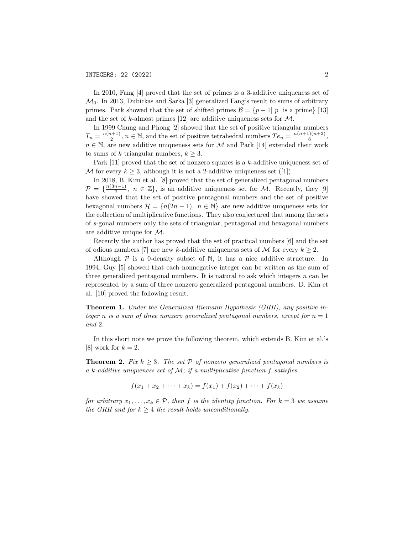In 2010, Fang [4] proved that the set of primes is a 3-additive uniqueness set of  $\mathcal{M}_0$ . In 2013, Dubickas and Sarka [3] generalized Fang's result to sums of arbitrary primes. Park showed that the set of shifted primes  $\mathcal{B} = \{p-1 | p$  is a prime} [13] and the set of k-almost primes [12] are additive uniqueness sets for  $\mathcal{M}$ .

In 1999 Chung and Phong [2] showed that the set of positive triangular numbers  $T_n = \frac{n(n+1)}{2}$  $\frac{n+1}{2}$ ,  $n \in \mathbb{N}$ , and the set of positive tetrahedral numbers  $Te_n = \frac{n(n+1)(n+2)}{6}$  $\frac{1(n+2)}{6}$ ,  $n \in \mathbb{N}$ , are new additive uniqueness sets for M and Park [14] extended their work to sums of k triangular numbers,  $k \geq 3$ .

Park [11] proved that the set of nonzero squares is a k-additive uniqueness set of M for every  $k \geq 3$ , although it is not a 2-additive uniqueness set ([1]).

In 2018, B. Kim et al. [8] proved that the set of generalized pentagonal numbers  $\mathcal{P} = \left\{ \frac{n(3n-1)}{2} \right\}$  $\frac{n-1}{2}$ ,  $n \in \mathbb{Z}$ , is an additive uniqueness set for M. Recently, they [9] have showed that the set of positive pentagonal numbers and the set of positive hexagonal numbers  $\mathcal{H} = \{n(2n-1), n \in \mathbb{N}\}\$ are new additive uniqueness sets for the collection of multiplicative functions. They also conjectured that among the sets of s-gonal numbers only the sets of triangular, pentagonal and hexagonal numbers are additive unique for M.

Recently the author has proved that the set of practical numbers [6] and the set of odious numbers [7] are new k-additive uniqueness sets of M for every  $k \geq 2$ .

Although  $P$  is a 0-density subset of  $N$ , it has a nice additive structure. In 1994, Guy [5] showed that each nonnegative integer can be written as the sum of three generalized pentagonal numbers. It is natural to ask which integers  $n$  can be represented by a sum of three nonzero generalized pentagonal numbers. D. Kim et al. [10] proved the following result.

Theorem 1. Under the Generalized Riemann Hypothesis (GRH), any positive integer n is a sum of three nonzero generalized pentagonal numbers, except for  $n = 1$ and 2.

In this short note we prove the following theorem, which extends B. Kim et al.'s [8] work for  $k = 2$ .

**Theorem 2.** Fix  $k \geq 3$ . The set P of nonzero generalized pentagonal numbers is a k-additive uniqueness set of  $M$ ; if a multiplicative function f satisfies

$$
f(x_1 + x_2 + \dots + x_k) = f(x_1) + f(x_2) + \dots + f(x_k)
$$

for arbitrary  $x_1, \ldots, x_k \in \mathcal{P}$ , then f is the identity function. For  $k = 3$  we assume the GRH and for  $k \geq 4$  the result holds unconditionally.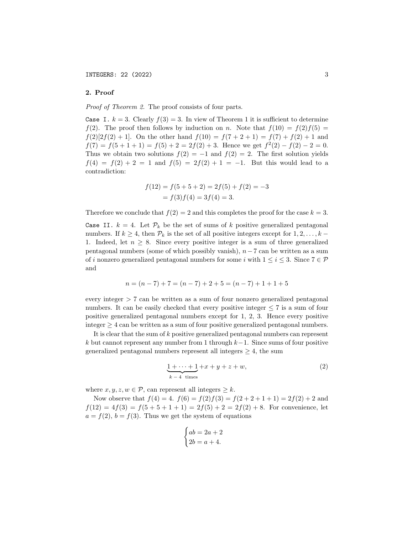# 2. Proof

Proof of Theorem 2. The proof consists of four parts.

Case I.  $k = 3$ . Clearly  $f(3) = 3$ . In view of Theorem 1 it is sufficient to determine  $f(2)$ . The proof then follows by induction on n. Note that  $f(10) = f(2)f(5) =$  $f(2)[2f(2) + 1]$ . On the other hand  $f(10) = f(7 + 2 + 1) = f(7) + f(2) + 1$  and  $f(7) = f(5 + 1 + 1) = f(5) + 2 = 2f(2) + 3$ . Hence we get  $f^{2}(2) - f(2) - 2 = 0$ . Thus we obtain two solutions  $f(2) = -1$  and  $f(2) = 2$ . The first solution yields  $f(4) = f(2) + 2 = 1$  and  $f(5) = 2f(2) + 1 = -1$ . But this would lead to a contradiction:

$$
f(12) = f(5+5+2) = 2f(5) + f(2) = -3
$$
  
=  $f(3)f(4) = 3f(4) = 3$ .

Therefore we conclude that  $f(2) = 2$  and this completes the proof for the case  $k = 3$ .

Case II.  $k = 4$ . Let  $\mathcal{P}_k$  be the set of sums of k positive generalized pentagonal numbers. If  $k \geq 4$ , then  $\mathcal{P}_k$  is the set of all positive integers except for  $1, 2, \ldots, k$  – 1. Indeed, let  $n \geq 8$ . Since every positive integer is a sum of three generalized pentagonal numbers (some of which possibly vanish),  $n-7$  can be written as a sum of i nonzero generalized pentagonal numbers for some i with  $1 \le i \le 3$ . Since  $7 \in \mathcal{P}$ and

$$
n = (n - 7) + 7 = (n - 7) + 2 + 5 = (n - 7) + 1 + 1 + 5
$$

every integer > 7 can be written as a sum of four nonzero generalized pentagonal numbers. It can be easily checked that every positive integer  $\leq 7$  is a sum of four positive generalized pentagonal numbers except for 1, 2, 3. Hence every positive integer  $\geq 4$  can be written as a sum of four positive generalized pentagonal numbers.

It is clear that the sum of  $k$  positive generalized pentagonal numbers can represent k but cannot represent any number from 1 through  $k-1$ . Since sums of four positive generalized pentagonal numbers represent all integers  $\geq 4$ , the sum

$$
\underbrace{1+\cdots+1}_{k-4 \text{ times}}+x+y+z+w,
$$
\n(2)

where  $x, y, z, w \in \mathcal{P}$ , can represent all integers  $\geq k$ .

Now observe that  $f(4) = 4$ .  $f(6) = f(2)f(3) = f(2 + 2 + 1 + 1) = 2f(2) + 2$  and  $f(12) = 4f(3) = f(5 + 5 + 1 + 1) = 2f(5) + 2 = 2f(2) + 8$ . For convenience, let  $a = f(2), b = f(3)$ . Thus we get the system of equations

$$
\begin{cases} ab = 2a + 2 \\ 2b = a + 4. \end{cases}
$$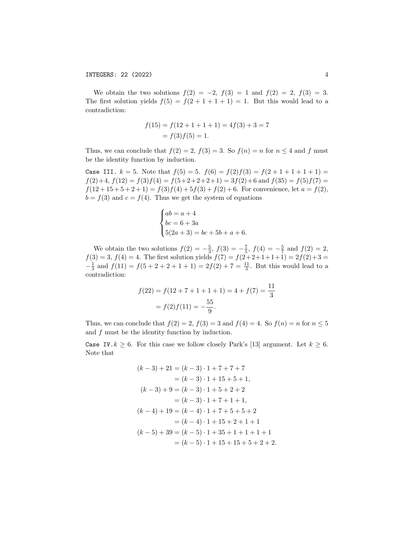We obtain the two solutions  $f(2) = -2$ ,  $f(3) = 1$  and  $f(2) = 2$ ,  $f(3) = 3$ . The first solution yields  $f(5) = f(2 + 1 + 1 + 1) = 1$ . But this would lead to a contradiction:

$$
f(15) = f(12 + 1 + 1 + 1) = 4f(3) + 3 = 7
$$

$$
= f(3)f(5) = 1.
$$

Thus, we can conclude that  $f(2) = 2$ ,  $f(3) = 3$ . So  $f(n) = n$  for  $n \leq 4$  and f must be the identity function by induction.

Case III.  $k = 5$ . Note that  $f(5) = 5$ .  $f(6) = f(2)f(3) = f(2 + 1 + 1 + 1 + 1) =$  $f(2)+4$ ,  $f(12) = f(3) f(4) = f(5+2+2+2+1) = 3f(2)+6$  and  $f(35) = f(5) f(7)$  $f(12+15+5+2+1) = f(3)f(4)+5f(3)+f(2)+6$ . For convenience, let  $a = f(2)$ ,  $b = f(3)$  and  $c = f(4)$ . Thus we get the system of equations

$$
\begin{cases}\nab = a + 4 \\
bc = 6 + 3a \\
5(2a + 3) = bc + 5b + a + 6.\n\end{cases}
$$

We obtain the two solutions  $f(2) = -\frac{5}{3}$ ,  $f(3) = -\frac{7}{5}$ ,  $f(4) = -\frac{5}{7}$  and  $f(2) = 2$ ,  $f(3) = 3, f(4) = 4.$  The first solution yields  $f(7) = f(2+2+1+1+1) = 2f(2)+3=$  $-\frac{1}{3}$  and  $f(11) = f(5 + 2 + 2 + 1 + 1) = 2f(2) + 7 = \frac{11}{3}$ . But this would lead to a contradiction:

$$
f(22) = f(12 + 7 + 1 + 1 + 1) = 4 + f(7) = \frac{11}{3}
$$

$$
= f(2)f(11) = -\frac{55}{9}.
$$

Thus, we can conclude that  $f(2) = 2$ ,  $f(3) = 3$  and  $f(4) = 4$ . So  $f(n) = n$  for  $n \leq 5$ and  $f$  must be the identity function by induction.

Case IV.  $k \geq 6$ . For this case we follow closely Park's [13] argument. Let  $k \geq 6$ . Note that

$$
(k-3) + 21 = (k-3) \cdot 1 + 7 + 7 + 7
$$
  
=  $(k-3) \cdot 1 + 15 + 5 + 1$ ,  
 $(k-3) + 9 = (k-3) \cdot 1 + 5 + 2 + 2$   
=  $(k-3) \cdot 1 + 7 + 1 + 1$ ,  
 $(k-4) + 19 = (k-4) \cdot 1 + 7 + 5 + 5 + 2$   
=  $(k-4) \cdot 1 + 15 + 2 + 1 + 1$   
 $(k-5) + 39 = (k-5) \cdot 1 + 35 + 1 + 1 + 1 + 1$   
=  $(k-5) \cdot 1 + 15 + 15 + 5 + 2 + 2$ .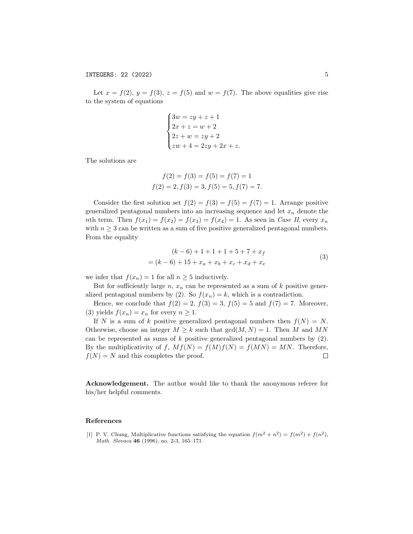Let  $x = f(2)$ ,  $y = f(3)$ ,  $z = f(5)$  and  $w = f(7)$ . The above equalities give rise to the system of equations

$$
\begin{cases}\n3w = zy + z + 1 \\
2x + z = w + 2 \\
2z + w = zy + 2 \\
zw + 4 = 2zy + 2x + z.\n\end{cases}
$$

The solutions are

$$
f(2) = f(3) = f(5) = f(7) = 1
$$
  

$$
f(2) = 2, f(3) = 3, f(5) = 5, f(7) = 7.
$$

Consider the first solution set  $f(2) = f(3) = f(5) = f(7) = 1$ . Arrange positive generalized pentagonal numbers into an increasing sequence and let  $x_n$  denote the nth term. Then  $f(x_1) = f(x_2) = f(x_3) = f(x_4) = 1$ . As seen in Case II, every  $x_n$ with  $n \geq 3$  can be written as a sum of five positive generalized pentagonal numbers. From the equality

$$
(k-6) + 1 + 1 + 1 + 5 + 7 + x_f
$$
  
=  $(k-6) + 15 + x_a + x_b + x_c + x_d + x_e$  (3)

we infer that  $f(x_n) = 1$  for all  $n \geq 5$  inductively.

But for sufficiently large n,  $x_n$  can be represented as a sum of k positive generalized pentagonal numbers by (2). So  $f(x_n) = k$ , which is a contradiction.

Hence, we conclude that  $f(2) = 2$ ,  $f(3) = 3$ ,  $f(5) = 5$  and  $f(7) = 7$ . Moreover, (3) yields  $f(x_n) = x_n$  for every  $n \geq 1$ .

If N is a sum of k positive generalized pentagonal numbers then  $f(N) = N$ . Otherwise, choose an integer  $M \geq k$  such that  $gcd(M, N) = 1$ . Then M and MN can be represented as sums of  $k$  positive generalized pentagonal numbers by  $(2)$ . By the multiplicativity of f,  $Mf(N) = f(M)f(N) = f(MN) = MN$ . Therefore,  $f(N) = N$  and this completes the proof.  $\Box$ 

Acknowledgement. The author would like to thank the anonymous referee for his/her helpful comments.

#### References

[1] P. V. Chung, Multiplicative functions satisfying the equation  $f(m^2 + n^2) = f(m^2) + f(n^2)$ , Math. Slovaca 46 (1996), no. 2-3, 165–171.